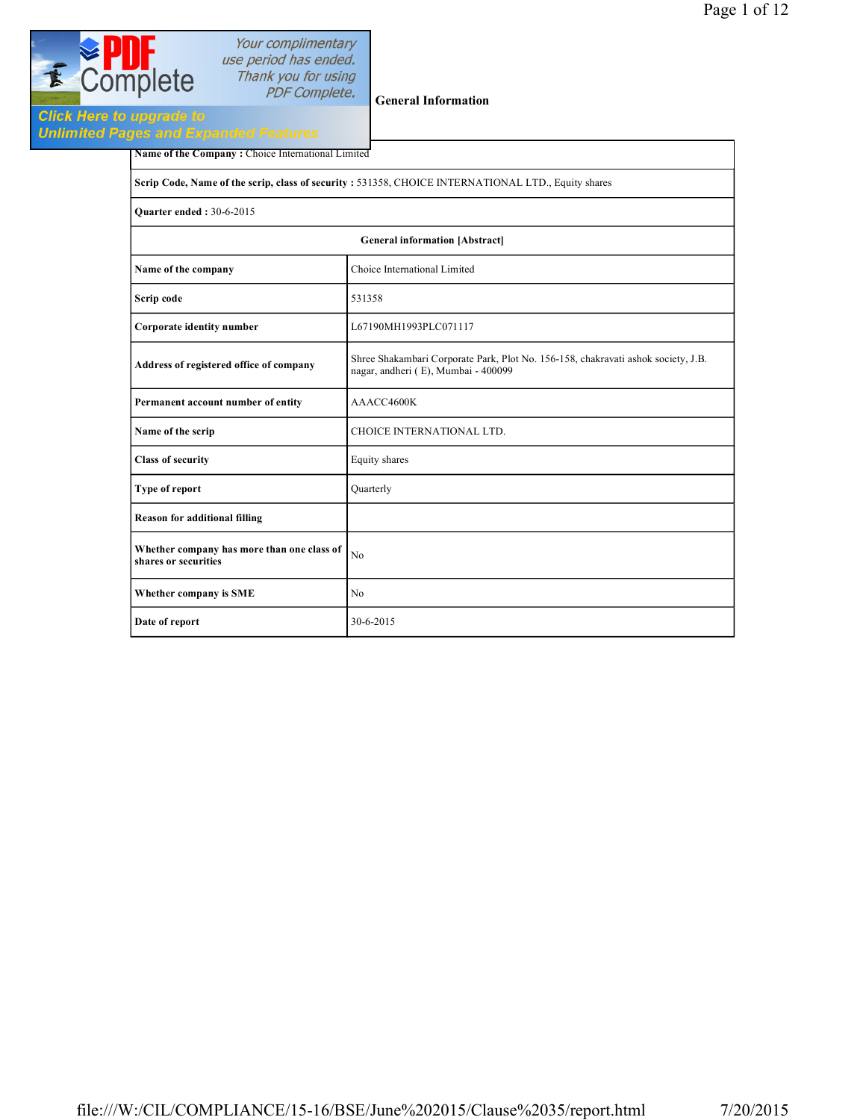

## Your complimentary use period has ended. Thank you for using<br>PDF Complete.

## **General Information**

| <b>Click Here to upgrade to</b> | <b>Unlimited Pages and Expanded Features</b>                       |                                                                                                                          |  |  |  |  |  |  |
|---------------------------------|--------------------------------------------------------------------|--------------------------------------------------------------------------------------------------------------------------|--|--|--|--|--|--|
|                                 | Name of the Company: Choice International Limited                  |                                                                                                                          |  |  |  |  |  |  |
|                                 |                                                                    | Scrip Code, Name of the scrip, class of security : 531358, CHOICE INTERNATIONAL LTD., Equity shares                      |  |  |  |  |  |  |
|                                 | <b>Ouarter ended: 30-6-2015</b>                                    |                                                                                                                          |  |  |  |  |  |  |
|                                 |                                                                    | <b>General information [Abstract]</b>                                                                                    |  |  |  |  |  |  |
|                                 | Name of the company                                                | Choice International Limited                                                                                             |  |  |  |  |  |  |
|                                 | Scrip code                                                         | 531358                                                                                                                   |  |  |  |  |  |  |
|                                 | Corporate identity number                                          | L67190MH1993PLC071117                                                                                                    |  |  |  |  |  |  |
|                                 | Address of registered office of company                            | Shree Shakambari Corporate Park, Plot No. 156-158, chakravati ashok society, J.B.<br>nagar, andheri (E), Mumbai - 400099 |  |  |  |  |  |  |
|                                 | Permanent account number of entity                                 | AAACC4600K                                                                                                               |  |  |  |  |  |  |
|                                 | Name of the scrip                                                  | CHOICE INTERNATIONAL LTD.                                                                                                |  |  |  |  |  |  |
|                                 | <b>Class of security</b>                                           | Equity shares                                                                                                            |  |  |  |  |  |  |
|                                 | Type of report                                                     | Quarterly                                                                                                                |  |  |  |  |  |  |
|                                 | <b>Reason for additional filling</b>                               |                                                                                                                          |  |  |  |  |  |  |
|                                 | Whether company has more than one class of<br>shares or securities | No                                                                                                                       |  |  |  |  |  |  |
|                                 | Whether company is SME                                             | N <sub>0</sub>                                                                                                           |  |  |  |  |  |  |
|                                 | Date of report                                                     | 30-6-2015                                                                                                                |  |  |  |  |  |  |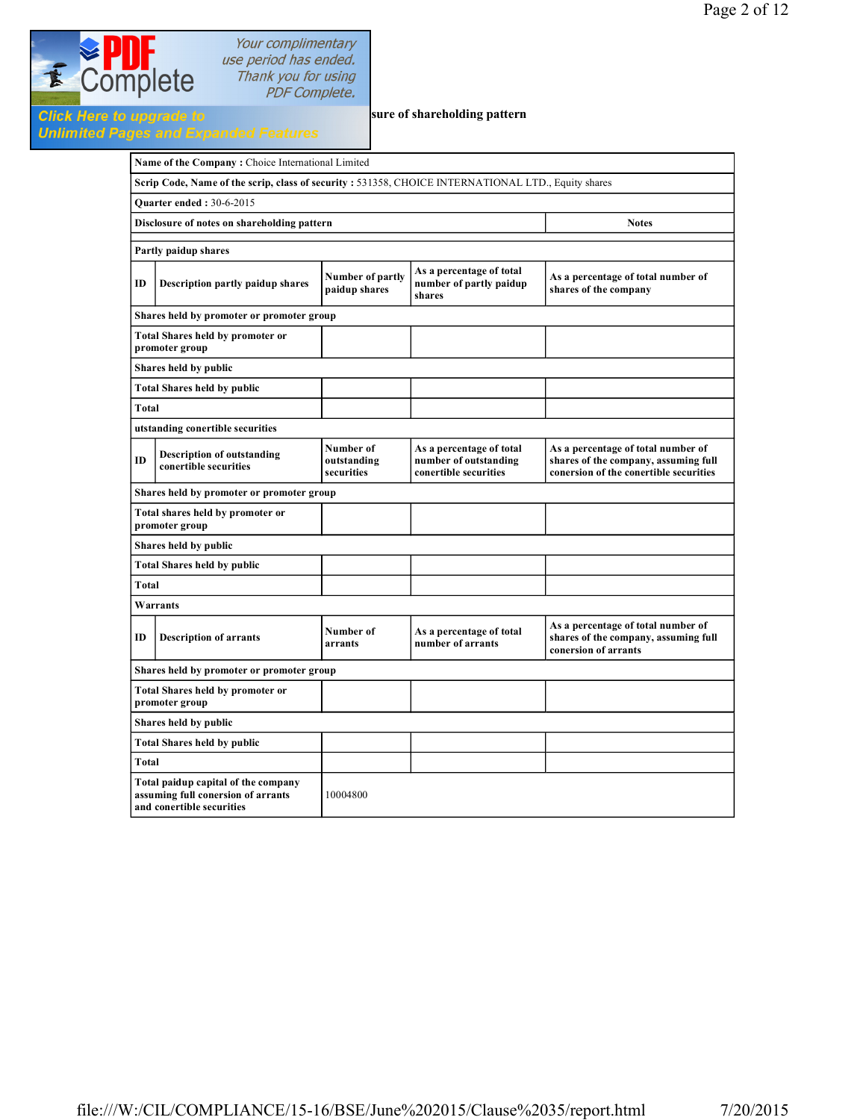

## Your complimentary use period has ended. Thank you for using PDF Complete.

**[Disclo](http://www.pdfcomplete.com/cms/hppl/tabid/108/Default.aspx?r=q8b3uige22)sure of shareholding pattern**

|           | Name of the Company: Choice International Limited                                                      |                                        |                                                                            |                                                                                                                      |  |  |  |  |  |
|-----------|--------------------------------------------------------------------------------------------------------|----------------------------------------|----------------------------------------------------------------------------|----------------------------------------------------------------------------------------------------------------------|--|--|--|--|--|
|           | Scrip Code, Name of the scrip, class of security: 531358, CHOICE INTERNATIONAL LTD., Equity shares     |                                        |                                                                            |                                                                                                                      |  |  |  |  |  |
|           | <b>Ouarter ended: 30-6-2015</b>                                                                        |                                        |                                                                            |                                                                                                                      |  |  |  |  |  |
|           | Disclosure of notes on shareholding pattern                                                            |                                        |                                                                            | <b>Notes</b>                                                                                                         |  |  |  |  |  |
|           | Partly paidup shares                                                                                   |                                        |                                                                            |                                                                                                                      |  |  |  |  |  |
| ID        | Description partly paidup shares                                                                       | Number of partly<br>paidup shares      | As a percentage of total<br>number of partly paidup<br>shares              | As a percentage of total number of<br>shares of the company                                                          |  |  |  |  |  |
|           | Shares held by promoter or promoter group                                                              |                                        |                                                                            |                                                                                                                      |  |  |  |  |  |
|           | <b>Total Shares held by promoter or</b><br>promoter group                                              |                                        |                                                                            |                                                                                                                      |  |  |  |  |  |
|           | Shares held by public                                                                                  |                                        |                                                                            |                                                                                                                      |  |  |  |  |  |
|           | <b>Total Shares held by public</b>                                                                     |                                        |                                                                            |                                                                                                                      |  |  |  |  |  |
| Total     |                                                                                                        |                                        |                                                                            |                                                                                                                      |  |  |  |  |  |
|           | utstanding conertible securities                                                                       |                                        |                                                                            |                                                                                                                      |  |  |  |  |  |
| ID        | <b>Description of outstanding</b><br>conertible securities                                             | Number of<br>outstanding<br>securities | As a percentage of total<br>number of outstanding<br>conertible securities | As a percentage of total number of<br>shares of the company, assuming full<br>conersion of the conertible securities |  |  |  |  |  |
|           | Shares held by promoter or promoter group                                                              |                                        |                                                                            |                                                                                                                      |  |  |  |  |  |
|           | Total shares held by promoter or<br>promoter group                                                     |                                        |                                                                            |                                                                                                                      |  |  |  |  |  |
|           | Shares held by public                                                                                  |                                        |                                                                            |                                                                                                                      |  |  |  |  |  |
|           | <b>Total Shares held by public</b>                                                                     |                                        |                                                                            |                                                                                                                      |  |  |  |  |  |
| Total     |                                                                                                        |                                        |                                                                            |                                                                                                                      |  |  |  |  |  |
|           | Warrants                                                                                               |                                        |                                                                            |                                                                                                                      |  |  |  |  |  |
| <b>ID</b> | <b>Description of arrants</b>                                                                          | Number of<br>arrants                   | As a percentage of total<br>number of arrants                              | As a percentage of total number of<br>shares of the company, assuming full<br>conersion of arrants                   |  |  |  |  |  |
|           | Shares held by promoter or promoter group                                                              |                                        |                                                                            |                                                                                                                      |  |  |  |  |  |
|           | <b>Total Shares held by promoter or</b><br>promoter group                                              |                                        |                                                                            |                                                                                                                      |  |  |  |  |  |
|           | Shares held by public                                                                                  |                                        |                                                                            |                                                                                                                      |  |  |  |  |  |
|           | <b>Total Shares held by public</b>                                                                     |                                        |                                                                            |                                                                                                                      |  |  |  |  |  |
| Total     |                                                                                                        |                                        |                                                                            |                                                                                                                      |  |  |  |  |  |
|           | Total paidup capital of the company<br>assuming full conersion of arrants<br>and conertible securities | 10004800                               |                                                                            |                                                                                                                      |  |  |  |  |  |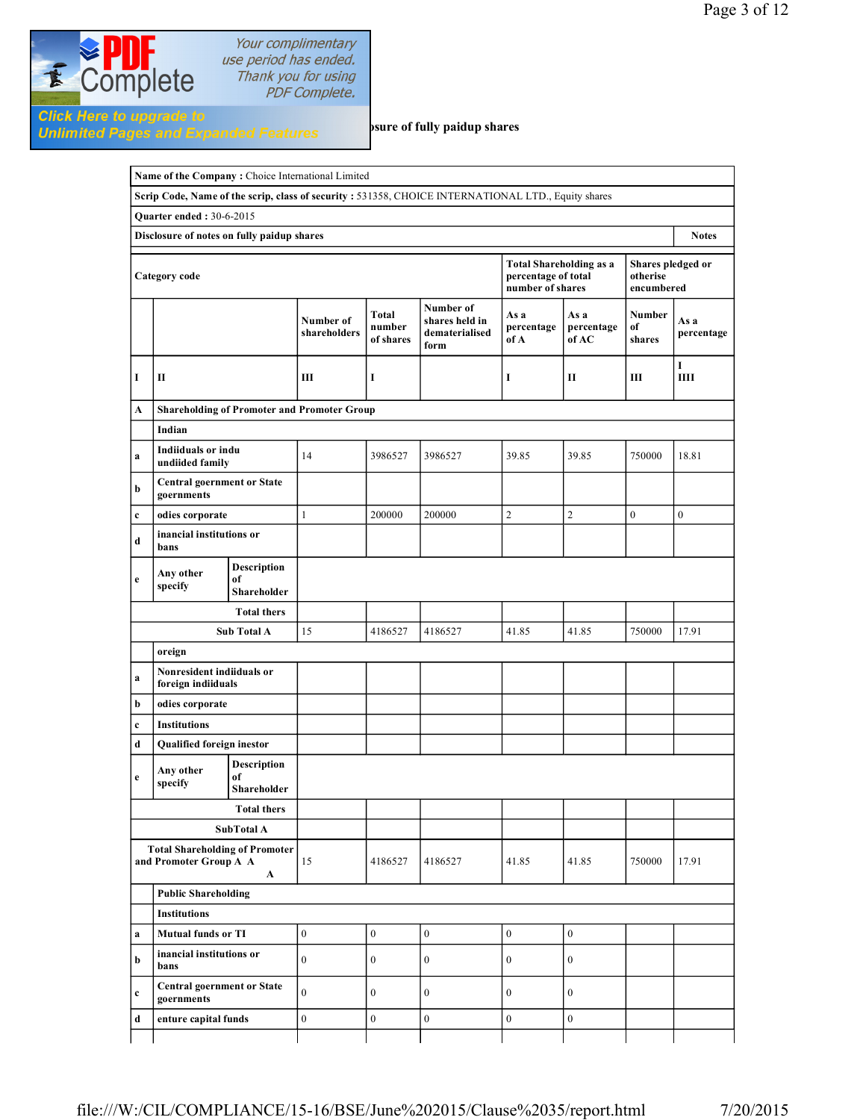

г

**Click Here to upgrade to<br>Unlimited Pages and Expanded Features** 

**Discute of fully paidup shares** 

|             | Name of the Company: Choice International Limited               |                                         |                           |                              |                                                                                                     |                                                                           |                             |                                             |                    |
|-------------|-----------------------------------------------------------------|-----------------------------------------|---------------------------|------------------------------|-----------------------------------------------------------------------------------------------------|---------------------------------------------------------------------------|-----------------------------|---------------------------------------------|--------------------|
|             |                                                                 |                                         |                           |                              | Scrip Code, Name of the scrip, class of security : 531358, CHOICE INTERNATIONAL LTD., Equity shares |                                                                           |                             |                                             |                    |
|             | <b>Quarter ended: 30-6-2015</b>                                 |                                         |                           |                              |                                                                                                     |                                                                           |                             |                                             |                    |
|             | Disclosure of notes on fully paidup shares                      |                                         |                           |                              |                                                                                                     |                                                                           |                             |                                             | <b>Notes</b>       |
|             | Category code                                                   |                                         |                           |                              |                                                                                                     | <b>Total Shareholding as a</b><br>percentage of total<br>number of shares |                             | Shares pledged or<br>otherise<br>encumbered |                    |
|             |                                                                 |                                         | Number of<br>shareholders | Total<br>number<br>of shares | Number of<br>shares held in<br>dematerialised<br>form                                               | As a<br>percentage<br>of A                                                | As a<br>percentage<br>of AC | Number<br>of<br>shares                      | As a<br>percentage |
| I           | $\mathbf{I}$                                                    |                                         | Ш                         | I                            |                                                                                                     | 1                                                                         | П                           | Ш                                           | I<br>Ш             |
| A           | <b>Shareholding of Promoter and Promoter Group</b>              |                                         |                           |                              |                                                                                                     |                                                                           |                             |                                             |                    |
|             | Indian                                                          |                                         |                           |                              |                                                                                                     |                                                                           |                             |                                             |                    |
| $\bf{a}$    | <b>Indiiduals or indu</b><br>undiided family                    |                                         | 14                        | 3986527                      | 3986527                                                                                             | 39.85                                                                     | 39.85                       | 750000                                      | 18.81              |
| b           | <b>Central goernment or State</b><br>goernments                 |                                         |                           |                              |                                                                                                     |                                                                           |                             |                                             |                    |
| $\mathbf c$ | odies corporate                                                 |                                         | $\mathbf{1}$              | 200000                       | 200000                                                                                              | $\overline{c}$                                                            | $\overline{2}$              | $\mathbf{0}$                                | $\mathbf{0}$       |
| d           | inancial institutions or<br>bans                                |                                         |                           |                              |                                                                                                     |                                                                           |                             |                                             |                    |
| $\mathbf e$ | Any other<br>specify                                            | <b>Description</b><br>of<br>Shareholder |                           |                              |                                                                                                     |                                                                           |                             |                                             |                    |
|             |                                                                 |                                         |                           |                              |                                                                                                     |                                                                           |                             |                                             |                    |
|             |                                                                 | Sub Total A                             | 15                        | 4186527                      | 4186527                                                                                             | 41.85                                                                     | 41.85                       | 750000                                      | 17.91              |
|             | oreign                                                          |                                         |                           |                              |                                                                                                     |                                                                           |                             |                                             |                    |
| a           | Nonresident indiiduals or<br>foreign indiiduals                 |                                         |                           |                              |                                                                                                     |                                                                           |                             |                                             |                    |
| b           | odies corporate                                                 |                                         |                           |                              |                                                                                                     |                                                                           |                             |                                             |                    |
| $\mathbf c$ | <b>Institutions</b>                                             |                                         |                           |                              |                                                                                                     |                                                                           |                             |                                             |                    |
| d           | Qualified foreign inestor                                       |                                         |                           |                              |                                                                                                     |                                                                           |                             |                                             |                    |
| $\mathbf e$ | Any other<br>specify                                            | <b>Description</b><br>of<br>Shareholder |                           |                              |                                                                                                     |                                                                           |                             |                                             |                    |
|             |                                                                 | <b>Total thers</b>                      |                           |                              |                                                                                                     |                                                                           |                             |                                             |                    |
|             |                                                                 | SubTotal A                              |                           |                              |                                                                                                     |                                                                           |                             |                                             |                    |
|             | <b>Total Shareholding of Promoter</b><br>and Promoter Group A A | $\mathbf A$                             | 15                        | 4186527                      | 4186527                                                                                             | 41.85                                                                     | 41.85                       | 750000                                      | 17.91              |
|             | <b>Public Shareholding</b>                                      |                                         |                           |                              |                                                                                                     |                                                                           |                             |                                             |                    |
|             | <b>Institutions</b>                                             |                                         |                           |                              |                                                                                                     |                                                                           |                             |                                             |                    |
| $\mathbf a$ | <b>Mutual funds or TI</b>                                       |                                         | $\mathbf{0}$              | $\boldsymbol{0}$             | $\bf{0}$                                                                                            | $\boldsymbol{0}$                                                          | $\boldsymbol{0}$            |                                             |                    |
| b           | inancial institutions or<br>bans                                |                                         | $\overline{0}$            | $\mathbf{0}$                 | $\mathbf{0}$                                                                                        | $\boldsymbol{0}$                                                          | $\boldsymbol{0}$            |                                             |                    |
| $\mathbf c$ | <b>Central goernment or State</b><br>goernments                 |                                         | $\overline{0}$            | $\overline{0}$               | $\overline{0}$                                                                                      | $\boldsymbol{0}$                                                          | $\mathbf{0}$                |                                             |                    |
| d           | enture capital funds                                            |                                         | $\mathbf{0}$              | $\boldsymbol{0}$             | $\boldsymbol{0}$                                                                                    | $\boldsymbol{0}$                                                          | $\boldsymbol{0}$            |                                             |                    |
|             |                                                                 |                                         |                           |                              |                                                                                                     |                                                                           |                             |                                             |                    |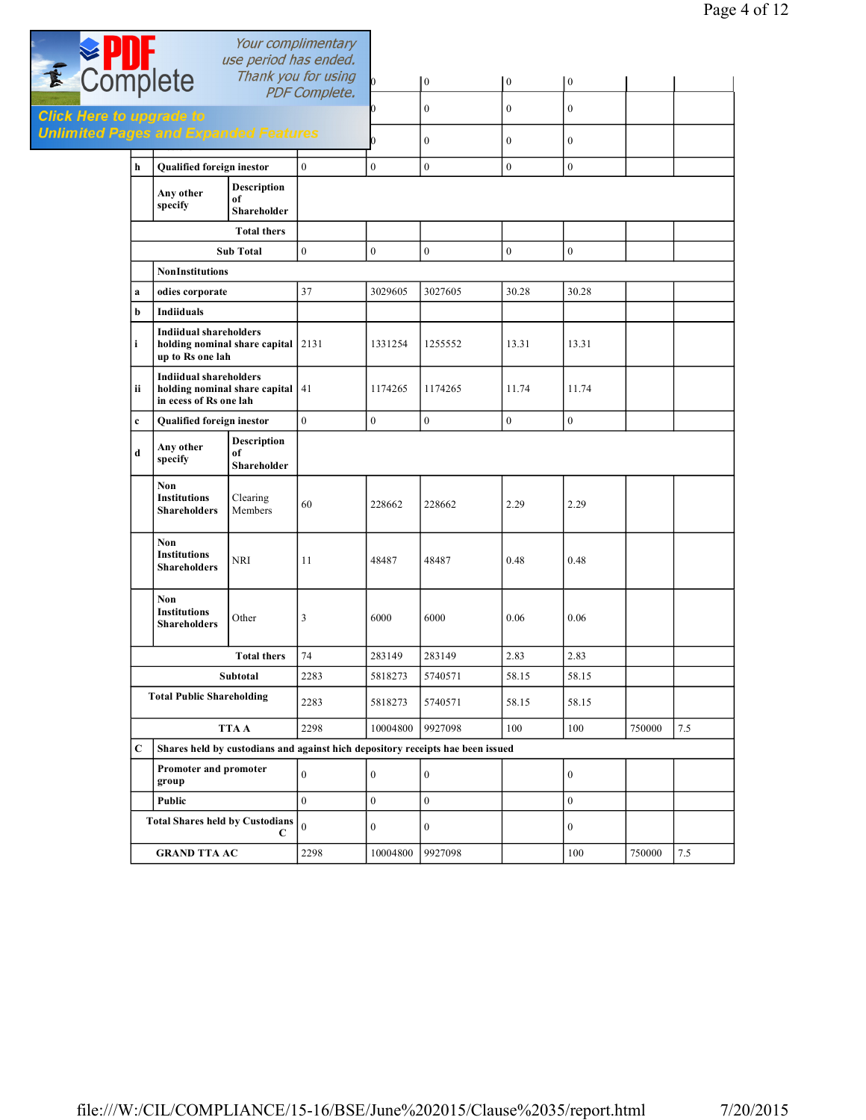| E Complete                                   | Your complimentary<br>use period has ended.<br>Thank you for using                                                                                                                                   |                                                   |                                         |                      |                  |                  |                  |                  |        |         |
|----------------------------------------------|------------------------------------------------------------------------------------------------------------------------------------------------------------------------------------------------------|---------------------------------------------------|-----------------------------------------|----------------------|------------------|------------------|------------------|------------------|--------|---------|
|                                              |                                                                                                                                                                                                      |                                                   |                                         | <b>PDF</b> Complete. | $\overline{0}$   | $\mathbf{0}$     | $\vert 0 \vert$  | $\vert 0 \vert$  |        |         |
| <b>Click Here to upgrade to</b>              |                                                                                                                                                                                                      |                                                   |                                         |                      | $\overline{0}$   | $\boldsymbol{0}$ | $\boldsymbol{0}$ | $\boldsymbol{0}$ |        |         |
| <b>Unlimited Pages and Expanded Features</b> |                                                                                                                                                                                                      |                                                   |                                         |                      | $\boldsymbol{0}$ | $\bf{0}$         | $\boldsymbol{0}$ | $\boldsymbol{0}$ |        |         |
|                                              | h                                                                                                                                                                                                    | Qualified foreign inestor                         |                                         | $\mathbf{0}$         | $\boldsymbol{0}$ | $\boldsymbol{0}$ | $\boldsymbol{0}$ | $\boldsymbol{0}$ |        |         |
|                                              |                                                                                                                                                                                                      | Any other<br>specify                              | Description<br>of<br>Shareholder        |                      |                  |                  |                  |                  |        |         |
|                                              |                                                                                                                                                                                                      |                                                   | <b>Total thers</b>                      |                      |                  |                  |                  |                  |        |         |
|                                              | <b>Sub Total</b><br><b>NonInstitutions</b><br>odies corporate<br>a                                                                                                                                   |                                                   |                                         | $\boldsymbol{0}$     | $\boldsymbol{0}$ | $\boldsymbol{0}$ | $\mathbf{0}$     | $\mathbf 0$      |        |         |
|                                              |                                                                                                                                                                                                      |                                                   |                                         |                      |                  |                  |                  |                  |        |         |
|                                              |                                                                                                                                                                                                      |                                                   | 37                                      | 3029605              | 3027605          | 30.28            | 30.28            |                  |        |         |
|                                              | b                                                                                                                                                                                                    | Indiiduals                                        |                                         |                      |                  |                  |                  |                  |        |         |
|                                              | <b>Indiidual shareholders</b><br>holding nominal share capital 2131<br>i<br>up to Rs one lah<br><b>Indiidual shareholders</b><br>holding nominal share capital   41<br>ii.<br>in ecess of Rs one lah |                                                   |                                         | 1331254              | 1255552          | 13.31            | 13.31            |                  |        |         |
|                                              |                                                                                                                                                                                                      |                                                   |                                         | 1174265              | 1174265          | 11.74            | 11.74            |                  |        |         |
|                                              | $\mathbf c$                                                                                                                                                                                          | <b>Qualified foreign inestor</b>                  |                                         | $\mathbf{0}$         | $\boldsymbol{0}$ | $\boldsymbol{0}$ | $\boldsymbol{0}$ | $\boldsymbol{0}$ |        |         |
|                                              | d                                                                                                                                                                                                    | Any other<br>specify                              | <b>Description</b><br>of<br>Shareholder |                      |                  |                  |                  |                  |        |         |
|                                              |                                                                                                                                                                                                      | Non<br><b>Institutions</b><br><b>Shareholders</b> | Clearing<br>Members                     | 60                   | 228662           | 228662           | 2.29             | 2.29             |        |         |
|                                              |                                                                                                                                                                                                      | Non<br><b>Institutions</b><br><b>Shareholders</b> | <b>NRI</b>                              | 11                   | 48487            | 48487            | 0.48             | 0.48             |        |         |
|                                              |                                                                                                                                                                                                      | Non<br><b>Institutions</b><br><b>Shareholders</b> | Other                                   | $\mathfrak{Z}$       | 6000             | 6000             | 0.06             | 0.06             |        |         |
|                                              |                                                                                                                                                                                                      |                                                   | <b>Total thers</b>                      | 74                   | 283149           | 283149           | 2.83             | 2.83             |        |         |
|                                              |                                                                                                                                                                                                      |                                                   | Subtotal                                | 2283                 | 5818273          | 5740571          | 58.15            | 58.15            |        |         |
|                                              |                                                                                                                                                                                                      | <b>Total Public Shareholding</b>                  |                                         | 2283                 | 5818273          | 5740571          | 58.15            | 58.15            |        |         |
|                                              | <b>TTAA</b><br>C<br>Shares held by custodians and against hich depository receipts hae been issued<br>Promoter and promoter<br>group<br>Public                                                       |                                                   | 2298                                    | 10004800             | 9927098          | 100              | 100              | 750000           | 7.5    |         |
|                                              |                                                                                                                                                                                                      |                                                   |                                         |                      |                  |                  |                  |                  |        |         |
|                                              |                                                                                                                                                                                                      |                                                   | $\mathbf{0}$                            | $\boldsymbol{0}$     | $\boldsymbol{0}$ |                  | $\boldsymbol{0}$ |                  |        |         |
|                                              |                                                                                                                                                                                                      |                                                   |                                         | $\boldsymbol{0}$     | $\boldsymbol{0}$ | $\boldsymbol{0}$ |                  | $\boldsymbol{0}$ |        |         |
|                                              |                                                                                                                                                                                                      | <b>Total Shares held by Custodians</b>            | C                                       | $\Omega$             | $\boldsymbol{0}$ | $\boldsymbol{0}$ |                  | $\boldsymbol{0}$ |        |         |
|                                              |                                                                                                                                                                                                      | <b>GRAND TTA AC</b>                               |                                         | 2298                 | 10004800         | 9927098          |                  | 100              | 750000 | $7.5\,$ |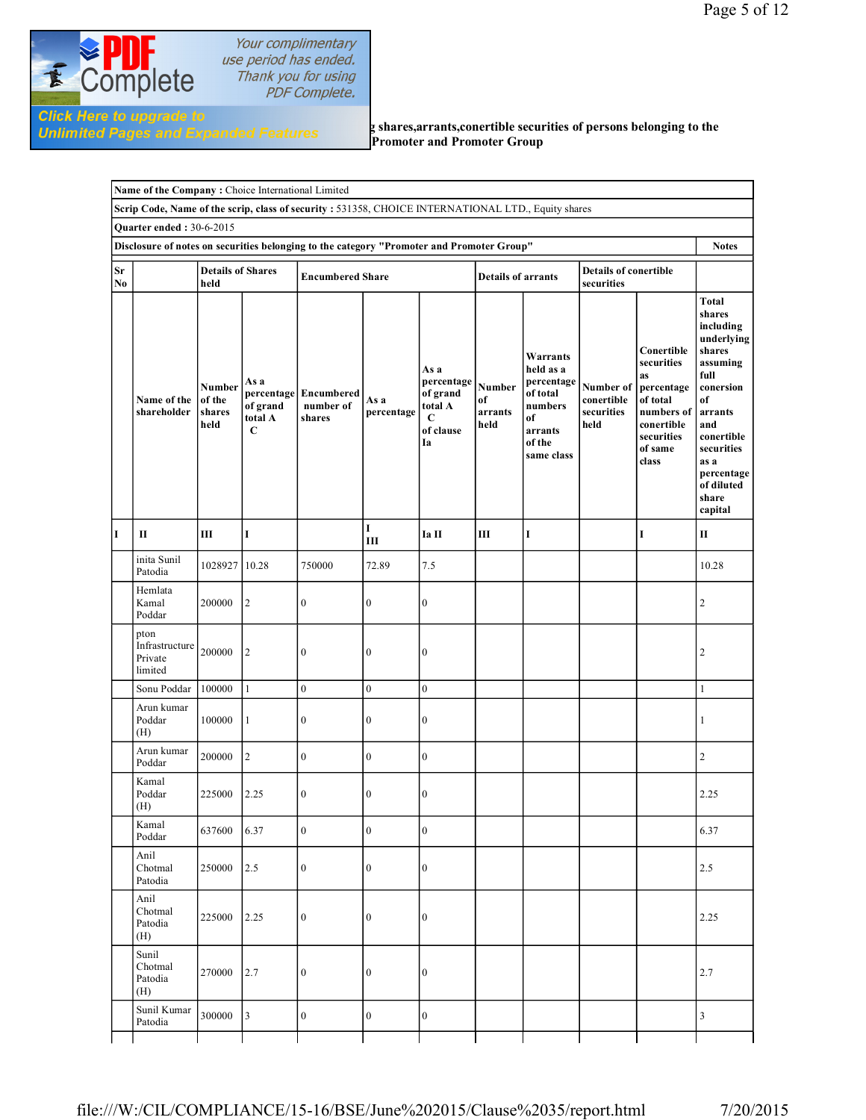

## Your complimentary use period has ended. Thank you for using PDF Complete.

**Click Here to upgrade to**<br> **Unlimited Pages and Expanded Features**<br> **Expanded Property and Property Crown Promoter and Promoter Group** 

|                      | Name of the Company: Choice International Limited |                                    |                                                          |                                                                                                    |                    |                                                                   |                                 |                                                                                                     |                                               |                                                                                                                        |                                                                                                                                                                                                   |
|----------------------|---------------------------------------------------|------------------------------------|----------------------------------------------------------|----------------------------------------------------------------------------------------------------|--------------------|-------------------------------------------------------------------|---------------------------------|-----------------------------------------------------------------------------------------------------|-----------------------------------------------|------------------------------------------------------------------------------------------------------------------------|---------------------------------------------------------------------------------------------------------------------------------------------------------------------------------------------------|
|                      |                                                   |                                    |                                                          | Scrip Code, Name of the scrip, class of security: 531358, CHOICE INTERNATIONAL LTD., Equity shares |                    |                                                                   |                                 |                                                                                                     |                                               |                                                                                                                        |                                                                                                                                                                                                   |
|                      | <b>Quarter ended: 30-6-2015</b>                   |                                    |                                                          |                                                                                                    |                    |                                                                   |                                 |                                                                                                     |                                               |                                                                                                                        |                                                                                                                                                                                                   |
|                      |                                                   |                                    |                                                          | Disclosure of notes on securities belonging to the category "Promoter and Promoter Group"          |                    |                                                                   |                                 |                                                                                                     |                                               |                                                                                                                        | <b>Notes</b>                                                                                                                                                                                      |
| Sr<br>N <sub>0</sub> |                                                   | <b>Details of Shares</b><br>held   |                                                          | <b>Encumbered Share</b>                                                                            |                    |                                                                   | <b>Details of arrants</b>       |                                                                                                     | <b>Details of conertible</b><br>securities    |                                                                                                                        |                                                                                                                                                                                                   |
|                      | Name of the<br>shareholder                        | Number<br>of the<br>shares<br>held | As a<br>percentage<br>of grand<br>total A<br>$\mathbf C$ | Encumbered<br>number of<br>shares                                                                  | As a<br>percentage | As a<br>percentage<br>of grand<br>total A<br>C<br>of clause<br>Ia | Number<br>of<br>arrants<br>held | Warrants<br>held as a<br>percentage<br>of total<br>numbers<br>of<br>arrants<br>of the<br>same class | Number of<br>conertible<br>securities<br>held | Conertible<br>securities<br>as<br>percentage<br>of total<br>numbers of<br>conertible<br>securities<br>of same<br>class | Total<br>shares<br>including<br>underlying<br>shares<br>assuming<br>full<br>conersion<br>of<br>arrants<br>and<br>conertible<br>securities<br>as a<br>percentage<br>of diluted<br>share<br>capital |
| I                    | П                                                 | Ш                                  | I                                                        |                                                                                                    | I<br>Ш             | Ia II                                                             | Ш                               | I                                                                                                   |                                               | I                                                                                                                      | $\mathbf{I}$                                                                                                                                                                                      |
|                      | inita Sunil<br>Patodia                            | 1028927                            | 10.28                                                    | 750000                                                                                             | 72.89              | 7.5                                                               |                                 |                                                                                                     |                                               |                                                                                                                        | 10.28                                                                                                                                                                                             |
|                      | Hemlata<br>Kamal<br>Poddar                        | 200000                             | $\overline{2}$                                           | $\boldsymbol{0}$                                                                                   | $\boldsymbol{0}$   | $\boldsymbol{0}$                                                  |                                 |                                                                                                     |                                               |                                                                                                                        | $\boldsymbol{2}$                                                                                                                                                                                  |
|                      | pton<br>Infrastructure<br>Private<br>limited      | 200000                             | $\sqrt{2}$                                               | $\boldsymbol{0}$                                                                                   | $\boldsymbol{0}$   | $\boldsymbol{0}$                                                  |                                 |                                                                                                     |                                               |                                                                                                                        | $\overline{c}$                                                                                                                                                                                    |
|                      | Sonu Poddar                                       | 100000                             | $\mathbf{1}$                                             | $\boldsymbol{0}$                                                                                   | $\boldsymbol{0}$   | $\boldsymbol{0}$                                                  |                                 |                                                                                                     |                                               |                                                                                                                        | $\mathbf{1}$                                                                                                                                                                                      |
|                      | Arun kumar<br>Poddar<br>(H)                       | 100000                             | $\mathbf{1}$                                             | $\boldsymbol{0}$                                                                                   | $\boldsymbol{0}$   | $\boldsymbol{0}$                                                  |                                 |                                                                                                     |                                               |                                                                                                                        | 1                                                                                                                                                                                                 |
|                      | Arun kumar<br>Poddar                              | 200000                             | $\sqrt{2}$                                               | $\boldsymbol{0}$                                                                                   | $\boldsymbol{0}$   | $\boldsymbol{0}$                                                  |                                 |                                                                                                     |                                               |                                                                                                                        | $\mathbf 2$                                                                                                                                                                                       |
|                      | Kamal<br>Poddar<br>(H)                            | 225000                             | 2.25                                                     | $\bf{0}$                                                                                           | $\boldsymbol{0}$   | 0                                                                 |                                 |                                                                                                     |                                               |                                                                                                                        | 2.25                                                                                                                                                                                              |
|                      | Kamal<br>Poddar                                   | 637600                             | 6.37                                                     | $\boldsymbol{0}$                                                                                   | $\boldsymbol{0}$   | $\boldsymbol{0}$                                                  |                                 |                                                                                                     |                                               |                                                                                                                        | 6.37                                                                                                                                                                                              |
|                      | Anil<br>Chotmal<br>Patodia                        | 250000                             | 2.5                                                      | $\boldsymbol{0}$                                                                                   | $\boldsymbol{0}$   | $\boldsymbol{0}$                                                  |                                 |                                                                                                     |                                               |                                                                                                                        | 2.5                                                                                                                                                                                               |
|                      | Anil<br>Chotmal<br>Patodia<br>(H)                 | 225000                             | 2.25                                                     | $\boldsymbol{0}$                                                                                   | $\boldsymbol{0}$   | $\boldsymbol{0}$                                                  |                                 |                                                                                                     |                                               |                                                                                                                        | 2.25                                                                                                                                                                                              |
|                      | Sunil<br>Chotmal<br>Patodia<br>(H)                | 270000                             | 2.7                                                      | $\boldsymbol{0}$                                                                                   | $\boldsymbol{0}$   | $\boldsymbol{0}$                                                  |                                 |                                                                                                     |                                               |                                                                                                                        | 2.7                                                                                                                                                                                               |
|                      | Sunil Kumar<br>Patodia                            | 300000                             | $\vert 3 \vert$                                          | $\boldsymbol{0}$                                                                                   | $\boldsymbol{0}$   | $\boldsymbol{0}$                                                  |                                 |                                                                                                     |                                               |                                                                                                                        | 3                                                                                                                                                                                                 |
|                      |                                                   |                                    |                                                          |                                                                                                    |                    |                                                                   |                                 |                                                                                                     |                                               |                                                                                                                        |                                                                                                                                                                                                   |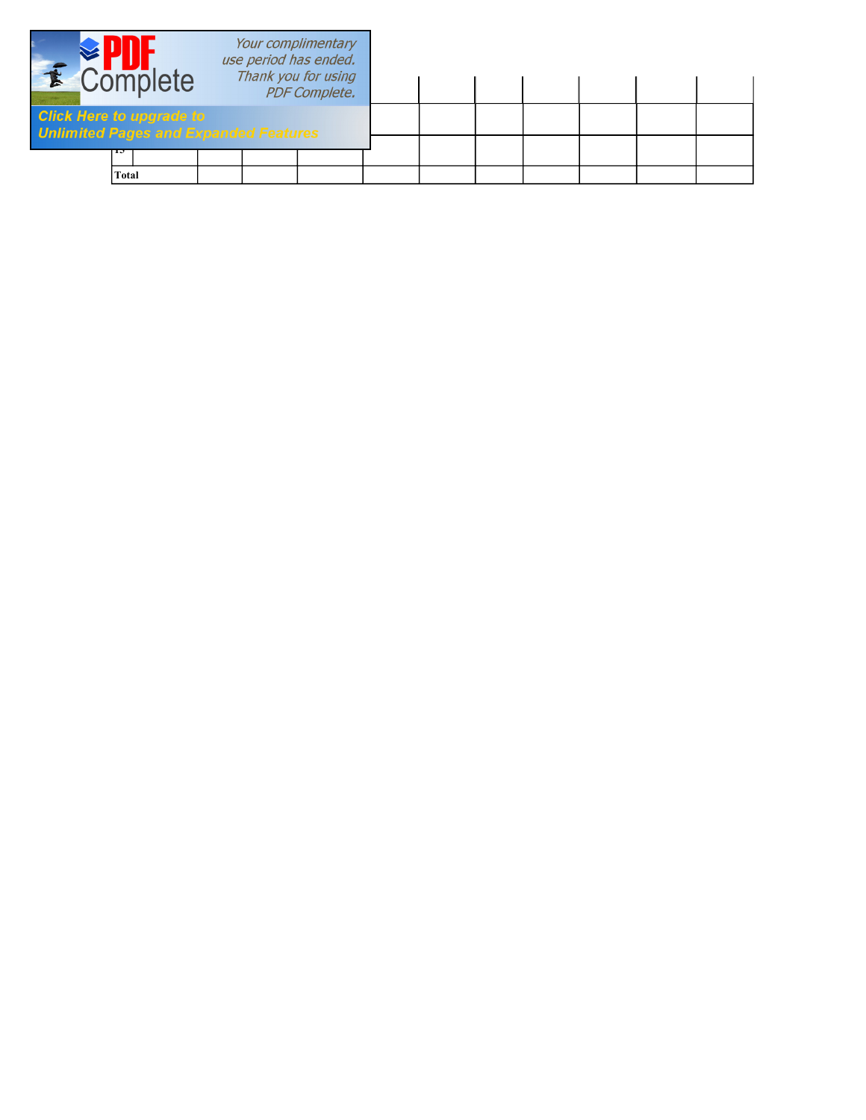| E Complete                                                                      |              |  |  |  | Your complimentary<br>use period has ended.<br>Thank you for using<br><b>PDF Complete.</b> |  |  |  |  |
|---------------------------------------------------------------------------------|--------------|--|--|--|--------------------------------------------------------------------------------------------|--|--|--|--|
| <b>Click Here to upgrade to</b><br><b>Unlimited Pages and Expanded Features</b> |              |  |  |  |                                                                                            |  |  |  |  |
| 15                                                                              |              |  |  |  |                                                                                            |  |  |  |  |
|                                                                                 | <b>Total</b> |  |  |  |                                                                                            |  |  |  |  |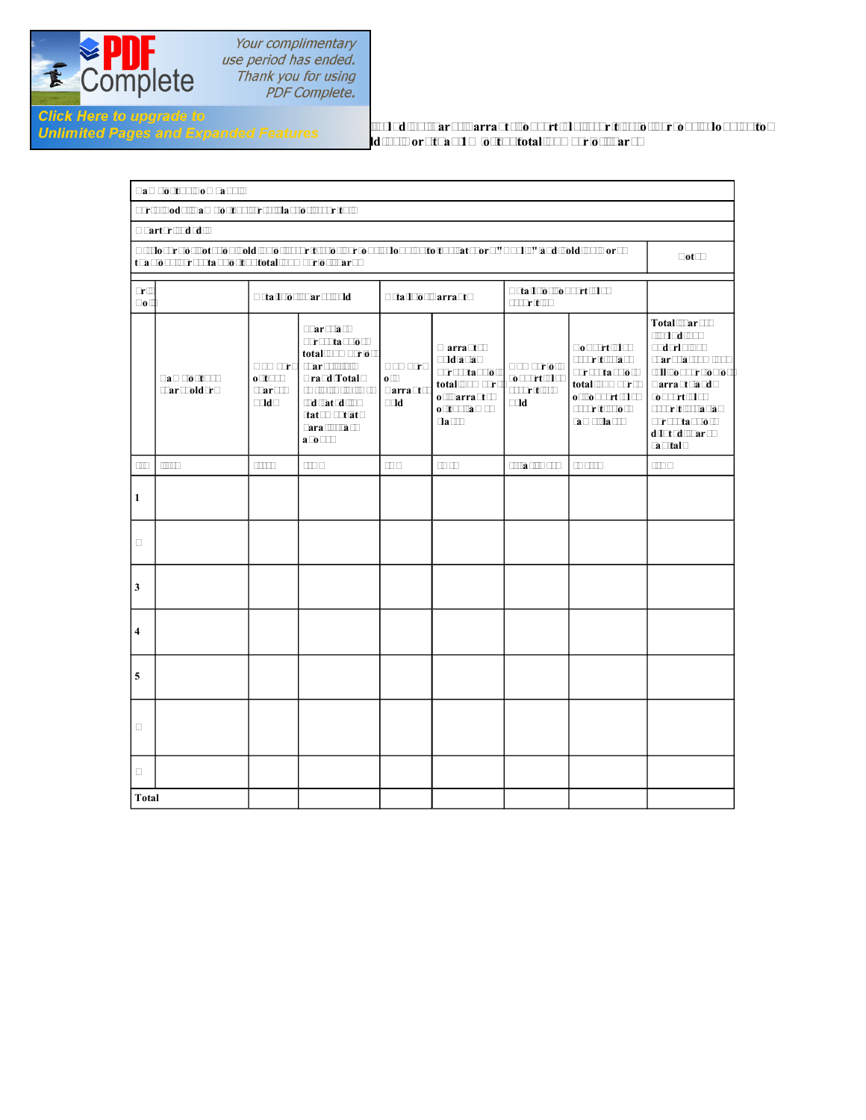

Your complimentary<br>use period has ended.<br>Thank you for using<br>PDF Complete.

**Click Here to upgrade to<br>Unlimited Pages and Expanded Features** 

!! !!! d!! ! !!! ar!!!! arra! t!!! o! ! ! rt!! !! !!! !! r!t!! !!!o!!! ! r! o! !!! ! lo! ! !! ! !to! Id!! !!! or! !t! a! !1! |o!!t! !! !total!! ! ! ! !r!o!!!! ar!!

|                         | ! a! ! lo! lt! ! !! o! ! a! ! !!                                                                                                                                                                      |                                                          |                                                                                                                                                                                                                                                       |                                                      |                                                                                                                                    |                                                                                                                       |                                                                                                                                                                                                                                                                                                                                                                                                          |                                                                                                                                                                                                                              |  |  |
|-------------------------|-------------------------------------------------------------------------------------------------------------------------------------------------------------------------------------------------------|----------------------------------------------------------|-------------------------------------------------------------------------------------------------------------------------------------------------------------------------------------------------------------------------------------------------------|------------------------------------------------------|------------------------------------------------------------------------------------------------------------------------------------|-----------------------------------------------------------------------------------------------------------------------|----------------------------------------------------------------------------------------------------------------------------------------------------------------------------------------------------------------------------------------------------------------------------------------------------------------------------------------------------------------------------------------------------------|------------------------------------------------------------------------------------------------------------------------------------------------------------------------------------------------------------------------------|--|--|
|                         | !!r!!!! od!!!! a! !!o!!t! !!!!r!! !!! la!!!o!!!!!! r!t! !!                                                                                                                                            |                                                          |                                                                                                                                                                                                                                                       |                                                      |                                                                                                                                    |                                                                                                                       |                                                                                                                                                                                                                                                                                                                                                                                                          |                                                                                                                                                                                                                              |  |  |
|                         | $!$ ! art! $r!!$ ! d! d!!                                                                                                                                                                             |                                                          |                                                                                                                                                                                                                                                       |                                                      |                                                                                                                                    |                                                                                                                       |                                                                                                                                                                                                                                                                                                                                                                                                          |                                                                                                                                                                                                                              |  |  |
|                         | !!!!lo!! r!!o!!! ot!!!o!!! old!! !!o!!!!!! r!t!!!!o!!! !r!o! !!! !lo! !!! !to!t! !!!at!! or! !"! ! ! !!! "!a! d!! old!! !!! _or!!<br>t! a! !o! !!! !r!!! ta! ! !o!!t! ! !total!! ! ! ! ! r!o!!!! ar!! |                                                          |                                                                                                                                                                                                                                                       |                                                      |                                                                                                                                    |                                                                                                                       |                                                                                                                                                                                                                                                                                                                                                                                                          | $!$ ot $!$ !                                                                                                                                                                                                                 |  |  |
| $!$ r!!<br>$\pm$ 0!     |                                                                                                                                                                                                       |                                                          | ! ! ta!!!!o!!! ! ar!!!! ! ld                                                                                                                                                                                                                          | !! ta!!! !o!!! arra! t!                              |                                                                                                                                    | !!ta!!!!o!!!o!!!rt!! !!!<br>$1!1!$ $r!$ $t!1!$                                                                        |                                                                                                                                                                                                                                                                                                                                                                                                          |                                                                                                                                                                                                                              |  |  |
|                         | $!$ a! $!$ $!$ $!$ $!$ $!$ $!$ $!$ $!$<br>$!!$ ar!! old! r!                                                                                                                                           | 11111r1<br>$0$ !! $t$ !!!<br>!! ar!!!<br>$!$ $!$ $!$ $!$ | $!$ ! $ar$ ! !! $a$ !!<br>! r! ! ta! !o!! <br>total!!!!!!r!o!!<br>$\frac{1!}{2!}$ ar! $\frac{1!}{2!}$ $\frac{1!}{2!}$<br>! ra! d!Total!<br>!! !!! !!! !!! !!! !!<br>!! d!! at! d!!! !<br>$!$ tat $!$ ! $!$ ! t!at!<br>! ara!!!!!!!a!!<br>$a!$ $o!$ !! | 11111r!<br>0!!<br>! arra! t!!<br>$!$ ! $\mathbf{Id}$ | $!$ arra $!$ t $!$ !<br>$!$ $!$ $!$ $!$ $!$ $!$ $!$ $!$<br>total!!!!!!!!!!<br>o!!! arra! t!!<br>$0$ !! $t!$ !!!! $a!$ !!<br>!1a!!! | $!$ $!$ $!$ $!$ $!$ $!$ $!$ $!$ $!$<br>$ 0 $ $ !$ $ $ rt $  $ $  $ $ !$<br>$      $ r $      $<br>$!$ ! $\mathbf{Id}$ | ! o! ! ! rt!! !! !<br>total!!!!!!!<br>o!!! o! ! ! rt!! 1! !<br>$\frac{1}{2}$ $\frac{1}{2}$ $\frac{1}{2}$ $\frac{1}{2}$ $\frac{1}{2}$ $\frac{1}{2}$ $\frac{1}{2}$ $\frac{1}{2}$ $\frac{1}{2}$ $\frac{1}{2}$ $\frac{1}{2}$ $\frac{1}{2}$ $\frac{1}{2}$ $\frac{1}{2}$ $\frac{1}{2}$ $\frac{1}{2}$ $\frac{1}{2}$ $\frac{1}{2}$ $\frac{1}{2}$ $\frac{1}{2}$ $\frac{1}{2}$ $\frac{1}{2}$<br>$ a $ $  $ $  a  $ | Total!!! ar!!!<br>$!$ ! d! rl! !! !!<br>!! ar!!!a!!! ! !! !!<br>$   \       \ o       \   \ r    \ o    \$<br>$!$ arra! $t!$ !a! d!<br>$!$ o! $!$ ! $!$ rt!! $!$ ! !<br>1!1!r!t!!1!1!a!1a!<br>d!l! t! d!!! ar!!<br>!a! !tal! |  |  |
| Ш                       | $\mathbf{H}$                                                                                                                                                                                          | 11111                                                    | $\mathbf{H}$ $\mathbf{I}$                                                                                                                                                                                                                             | $\mathbf{H}$                                         | $\mathbf{H}$ $\mathbf{H}$                                                                                                          | 1!1!a!1!1!1!1!                                                                                                        | $1!$ $1!$ $1!$                                                                                                                                                                                                                                                                                                                                                                                           | $\mathbf{H}$ $\mathbf{H}$                                                                                                                                                                                                    |  |  |
| $\mathbf{1}$            |                                                                                                                                                                                                       |                                                          |                                                                                                                                                                                                                                                       |                                                      |                                                                                                                                    |                                                                                                                       |                                                                                                                                                                                                                                                                                                                                                                                                          |                                                                                                                                                                                                                              |  |  |
| Ţ                       |                                                                                                                                                                                                       |                                                          |                                                                                                                                                                                                                                                       |                                                      |                                                                                                                                    |                                                                                                                       |                                                                                                                                                                                                                                                                                                                                                                                                          |                                                                                                                                                                                                                              |  |  |
| $\overline{\mathbf{3}}$ |                                                                                                                                                                                                       |                                                          |                                                                                                                                                                                                                                                       |                                                      |                                                                                                                                    |                                                                                                                       |                                                                                                                                                                                                                                                                                                                                                                                                          |                                                                                                                                                                                                                              |  |  |
| $\overline{\bf{4}}$     |                                                                                                                                                                                                       |                                                          |                                                                                                                                                                                                                                                       |                                                      |                                                                                                                                    |                                                                                                                       |                                                                                                                                                                                                                                                                                                                                                                                                          |                                                                                                                                                                                                                              |  |  |
| 5                       |                                                                                                                                                                                                       |                                                          |                                                                                                                                                                                                                                                       |                                                      |                                                                                                                                    |                                                                                                                       |                                                                                                                                                                                                                                                                                                                                                                                                          |                                                                                                                                                                                                                              |  |  |
| Ţ                       |                                                                                                                                                                                                       |                                                          |                                                                                                                                                                                                                                                       |                                                      |                                                                                                                                    |                                                                                                                       |                                                                                                                                                                                                                                                                                                                                                                                                          |                                                                                                                                                                                                                              |  |  |
| Ţ                       |                                                                                                                                                                                                       |                                                          |                                                                                                                                                                                                                                                       |                                                      |                                                                                                                                    |                                                                                                                       |                                                                                                                                                                                                                                                                                                                                                                                                          |                                                                                                                                                                                                                              |  |  |
| <b>Total</b>            |                                                                                                                                                                                                       |                                                          |                                                                                                                                                                                                                                                       |                                                      |                                                                                                                                    |                                                                                                                       |                                                                                                                                                                                                                                                                                                                                                                                                          |                                                                                                                                                                                                                              |  |  |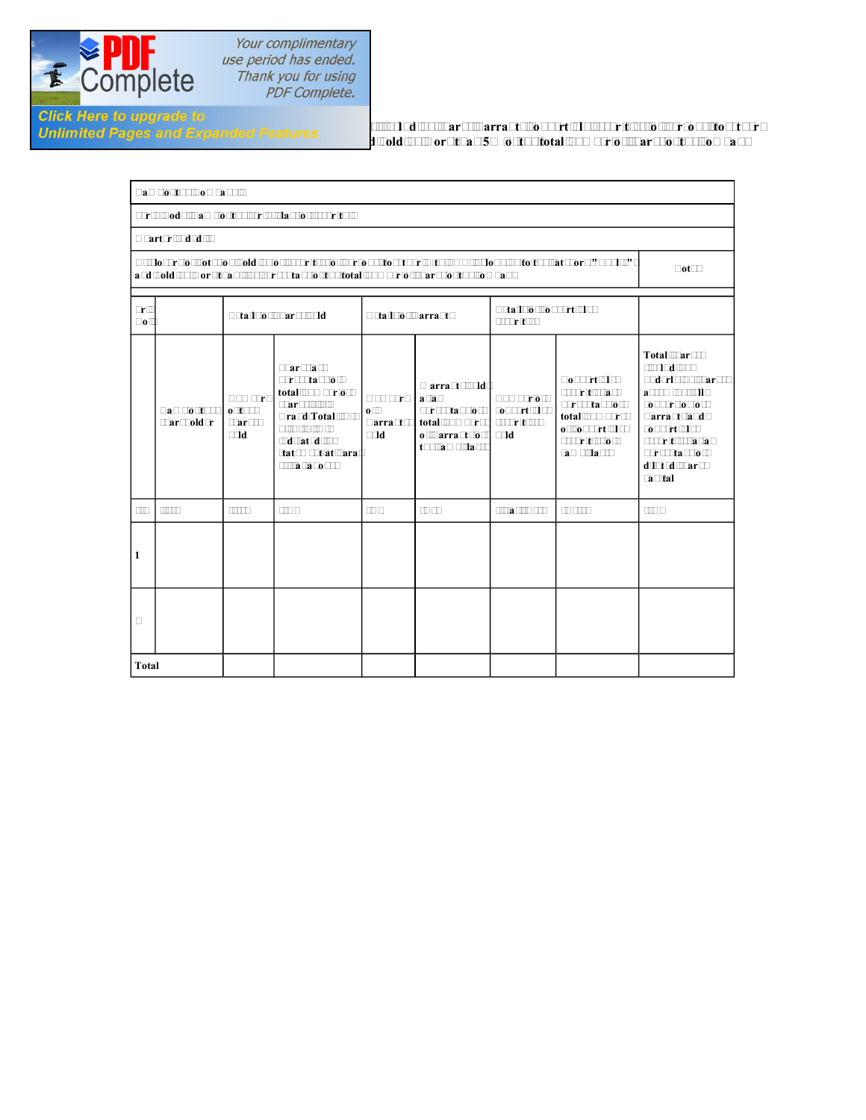

Your complimentary use period has ended.<br>Thank you for using<br>PDF Complete.

**Click Here to upgrade to<br>Unlimited Pages and Expanded Features** 

|                             | <b>ILal Intellity Intellity</b> |                                                    |                                                                                                                                                                                                                     |                                                   |                                                                                                                                                                                                                     |                                                                            |                                                                                                                                                                       |                                                                                                                                                                                                                                                                   |  |  |
|-----------------------------|---------------------------------|----------------------------------------------------|---------------------------------------------------------------------------------------------------------------------------------------------------------------------------------------------------------------------|---------------------------------------------------|---------------------------------------------------------------------------------------------------------------------------------------------------------------------------------------------------------------------|----------------------------------------------------------------------------|-----------------------------------------------------------------------------------------------------------------------------------------------------------------------|-------------------------------------------------------------------------------------------------------------------------------------------------------------------------------------------------------------------------------------------------------------------|--|--|
|                             |                                 |                                                    | !!r!!!! od!!!! a! !!o!!t! !!!!r!! !!! la!!!o!!!!!! r!t! !!                                                                                                                                                          |                                                   |                                                                                                                                                                                                                     |                                                                            |                                                                                                                                                                       |                                                                                                                                                                                                                                                                   |  |  |
|                             |                                 |                                                    |                                                                                                                                                                                                                     |                                                   |                                                                                                                                                                                                                     |                                                                            |                                                                                                                                                                       |                                                                                                                                                                                                                                                                   |  |  |
|                             |                                 |                                                    | al d!! old!!!!!! or!!t! a! !!!!!!!! r!!! ta! !!o!!t! !!total!!!!! ! r!o!!!! ar! !!o!!t! !!! o! ! a!!                                                                                                                |                                                   |                                                                                                                                                                                                                     |                                                                            |                                                                                                                                                                       | $!$ ot!!                                                                                                                                                                                                                                                          |  |  |
| r<br>$\vert$ o $\vert\vert$ |                                 |                                                    | !!ta!!!!o!!!! ar!!!!!!d                                                                                                                                                                                             | $!$ ! $!$ ta!!!! $ 0$ !!! arra! t!                |                                                                                                                                                                                                                     | !!ta!!!!o!!!o!!!rt!! !!!<br>$1111$ $r$ $t$ $t$ $t$ $t$ $t$                 |                                                                                                                                                                       |                                                                                                                                                                                                                                                                   |  |  |
|                             | $!!$ ar!! old! r                | 11!1!r!<br>0!<br>$!!$ ar!!!<br>$!$ ! $\mathbf{Id}$ | $\vert$     ar $\vert$       a     <br>$  r    $ tal $  o  $<br>total!!!!!!!r!o!!<br>  ar            <br>! ra! d!Total!!! !!<br><b>THE HEAD AT</b><br>!! d!! at! d!!! !<br>!tat!!!!! t!at!! ara!!<br>!!!!!a!!a!o!!! | $!$ !!!!r!<br>0!!<br>$!$ arra $!$ t $!$ !<br>! 1d | $\pm$ arra! t!!! ! ld!<br>a! a <br>$! \cdot   \cdot   \cdot   \cdot   \cdot   \cdot   \cdot   \cdot   \cdot   \cdot  $<br>$total!!!!!!!!  r!!    r _{t}    .$<br>o!!! arra! t!!o!!   ! ! ld<br>$t!$ !!!a!!!!!!a!!!! | $!$ $!$ $!$ $!$ $!$ $!$ $!$ $!$ $!$<br>$  \cdot  _0   \cdot   _r     _1  $ | $\pm$ of $\pm$ left! If $\pm$<br>1!1!r!t!1!1!a!1!<br>$! !r! ! $ ta! $! 0! !$<br>o!!! o! ! ! rt!! 1! !<br>$\{1111 \text{ r}!\text{ t}!\text{!!!!!}$<br>$ a $ $   a   $ | Total!!! ar!!!<br>                                 <br>a!!!! !!!!!!!!!<br>$!$ o! $!$ $!$ $!$ $!$ $!$ $!$ $!$ $!$ $!$<br>! arra! t!!a! d!<br>$!$ o! $!$ ! $!$ rt!! $!$ !!<br>$!!!!$ r!t!!!!!!a!!a!<br>$! !r! ! $ ta! $! 0! !$<br>$d!!$ t! $d!!$ ! ar!!<br>la! Ital |  |  |
| $\mathbf{H}$                | 11111                           | 11111                                              | $\mathbf{III}$                                                                                                                                                                                                      | $\mathbf{H}$                                      | $\mathbf{H}$                                                                                                                                                                                                        | 1111a11111111                                                              | $\mathbf{0}$ $\mathbf{0}$                                                                                                                                             | $\mathbf{H}$                                                                                                                                                                                                                                                      |  |  |
| $\mathbf{1}$                |                                 |                                                    |                                                                                                                                                                                                                     |                                                   |                                                                                                                                                                                                                     |                                                                            |                                                                                                                                                                       |                                                                                                                                                                                                                                                                   |  |  |
| Ţ                           |                                 |                                                    |                                                                                                                                                                                                                     |                                                   |                                                                                                                                                                                                                     |                                                                            |                                                                                                                                                                       |                                                                                                                                                                                                                                                                   |  |  |
| <b>Total</b>                |                                 |                                                    |                                                                                                                                                                                                                     |                                                   |                                                                                                                                                                                                                     |                                                                            |                                                                                                                                                                       |                                                                                                                                                                                                                                                                   |  |  |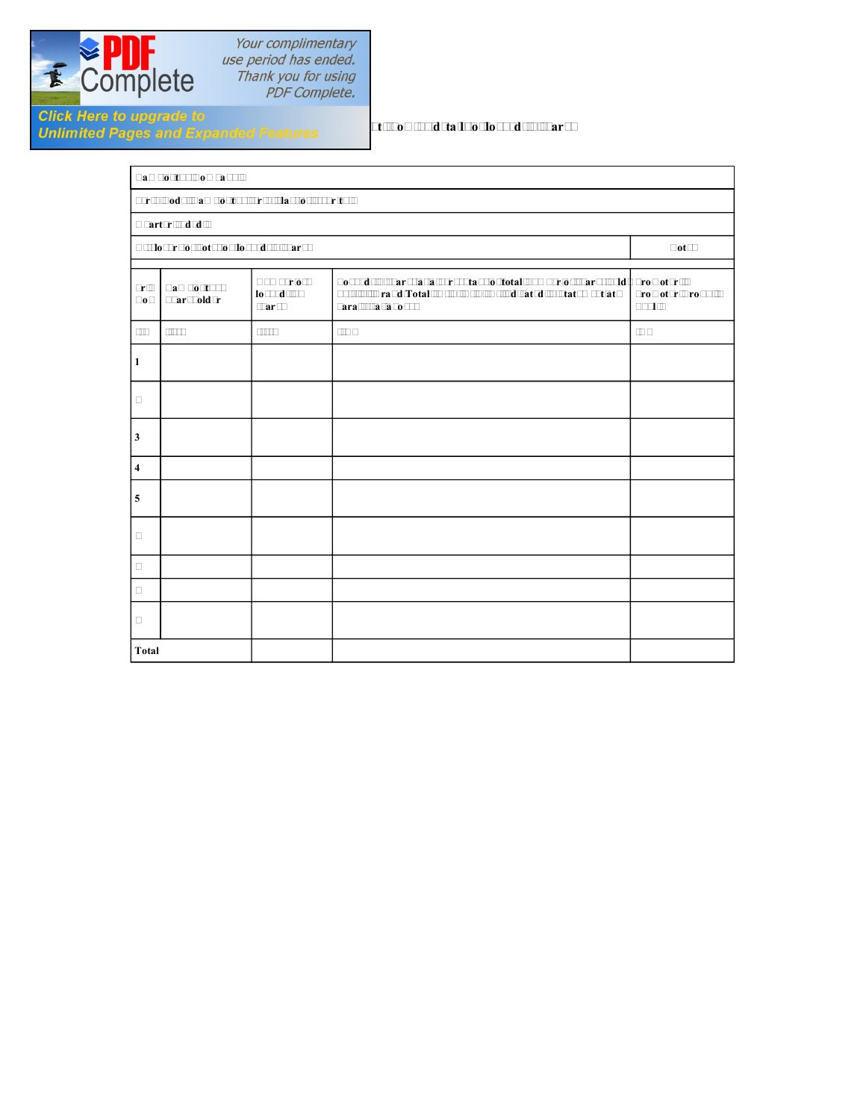

**Click Here to upgrade to<br>Unlimited Pages and Expanded Features** 

! t!!! o! !! ! !d! ta!!! !o!!lo! ! ! d!!! !! ! ar! !

|                             | ! ! r!! !! od! !!! a! ! !o!!t! ! !!! r!! !!! la! ! !o!!!! ! ! r!t! !! |                                                    |                                                                                                                                                                                                        |                                           |  |  |  |  |
|-----------------------------|-----------------------------------------------------------------------|----------------------------------------------------|--------------------------------------------------------------------------------------------------------------------------------------------------------------------------------------------------------|-------------------------------------------|--|--|--|--|
|                             | $!$ ! $!$ art! $r!!$ ! $d!$ $d!!$                                     |                                                    |                                                                                                                                                                                                        |                                           |  |  |  |  |
|                             | ! !!! lo!! r! !o!!! ot! !!o! !lo!! ! d!!! !!! ar!!                    |                                                    |                                                                                                                                                                                                        | $!$ ot $!$ !                              |  |  |  |  |
| $\parallel$ r!!<br>$\pm$ 0! | $ a $ $  b  t  $ !<br>$!!$ ar!! old! r                                | ! 1 ! 1 ! r! 0! !<br>$10!!!!$ $d!!!!$<br>$!!$ ar!! | ! o!!!d!!! !!! ar!!!a!!a!! !r!!! ta!!!o!!total!! !! ! ! r!o!!!! ar!!!! !ld!  ! ro! ot! r!!!<br>!!!!!!!!!!!! ra! d!Total!!! !!! !!! !!! !!! !!!! d!! at! d!!! !! tat!! !! t!at!<br>! ara!!!!!a!!a! o!!! | $\vert$ ! ro! ot! r!! ro! ! !!!<br>111111 |  |  |  |  |
| Ш                           | 1!1!1!                                                                | 11111                                              | $\mathbf{III}$                                                                                                                                                                                         | $\mathbf{H}$                              |  |  |  |  |
| $\mathbf{1}$                |                                                                       |                                                    |                                                                                                                                                                                                        |                                           |  |  |  |  |
| -1                          |                                                                       |                                                    |                                                                                                                                                                                                        |                                           |  |  |  |  |
| $\mathbf{3}$                |                                                                       |                                                    |                                                                                                                                                                                                        |                                           |  |  |  |  |
| $\overline{4}$              |                                                                       |                                                    |                                                                                                                                                                                                        |                                           |  |  |  |  |
| 5                           |                                                                       |                                                    |                                                                                                                                                                                                        |                                           |  |  |  |  |
| !                           |                                                                       |                                                    |                                                                                                                                                                                                        |                                           |  |  |  |  |
| !                           |                                                                       |                                                    |                                                                                                                                                                                                        |                                           |  |  |  |  |
| !                           |                                                                       |                                                    |                                                                                                                                                                                                        |                                           |  |  |  |  |
| Ţ                           |                                                                       |                                                    |                                                                                                                                                                                                        |                                           |  |  |  |  |
| <b>Total</b>                |                                                                       |                                                    |                                                                                                                                                                                                        |                                           |  |  |  |  |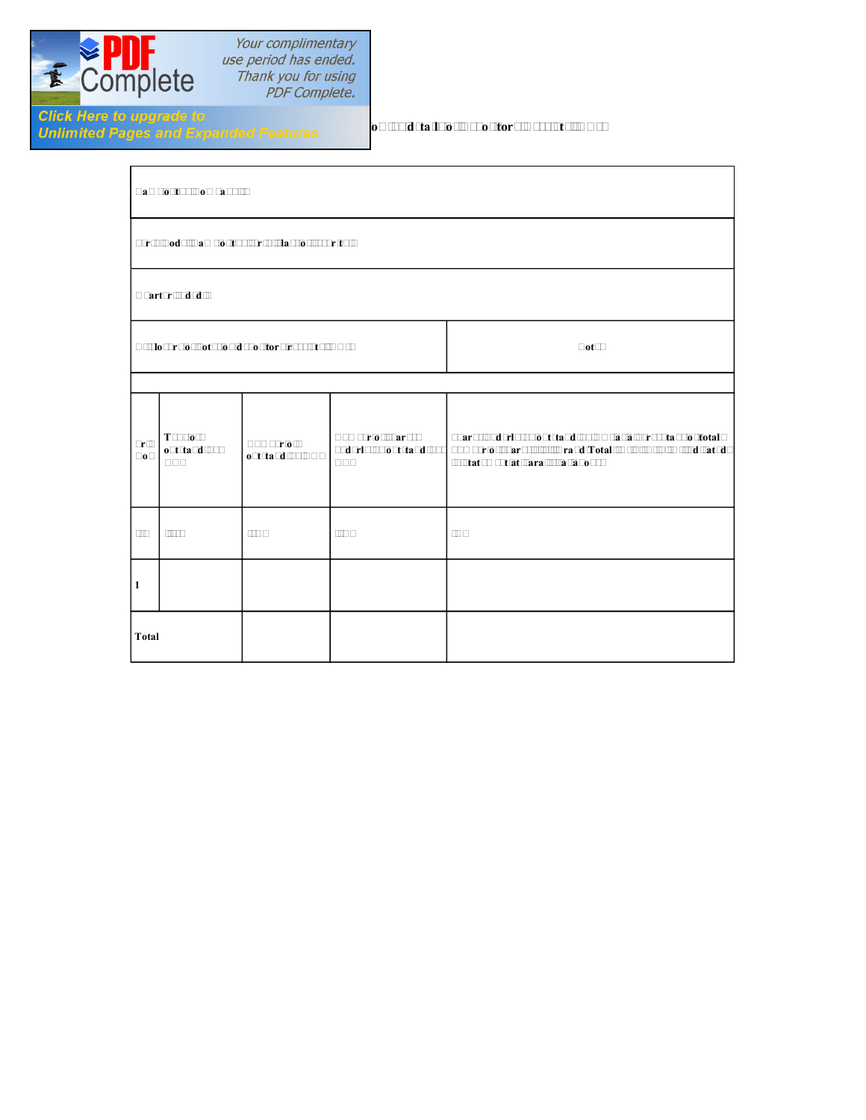

Your complimentary<br>use period has ended.<br>Thank you for using<br>PDF Complete.

**Click Here to upgrade to<br>Unlimited Pages and Expanded Features** 

o! !! ! !d! ta!!! !o!!! ! ! o!!tor! !! !!!!!! t!!!! ! !!

|               | ! a! ! !o!!t! ! !! o! ! a! ! !!!                                            |                                                            |                                            |                                                                                                                                                                                                                                                     |  |  |  |  |  |
|---------------|-----------------------------------------------------------------------------|------------------------------------------------------------|--------------------------------------------|-----------------------------------------------------------------------------------------------------------------------------------------------------------------------------------------------------------------------------------------------------|--|--|--|--|--|
|               |                                                                             | !!r!! !! od!!!! a! !!o!!t! !!!!r!! !!!la!!!o!!!!!! r!t! !! |                                            |                                                                                                                                                                                                                                                     |  |  |  |  |  |
|               | $!$ ! art! $r!!$ ! d! d!!                                                   |                                                            |                                            |                                                                                                                                                                                                                                                     |  |  |  |  |  |
|               | !!!! lo!! r! !o!!! ot! !!o! !d!! o!!tor! !r!!!!!! t!!!! !!!<br>$!$ ot $!$ ! |                                                            |                                            |                                                                                                                                                                                                                                                     |  |  |  |  |  |
|               |                                                                             |                                                            |                                            |                                                                                                                                                                                                                                                     |  |  |  |  |  |
| r<br>$\pm$ 0! | $T!!!!$   0  <br>o! t! ta! d!! !!<br>111                                    | ! 1 ! 1 ! r! 0!!<br>o! t! ta! d!! ! !! ! !                 | ! 1 ! 1 ! r! 0 ! ! ! ar! !!<br>$\pm\pm\pm$ | !! ar!!!! ! d! rl! !! ! !o! t! ta! d!! ! !! ! ! !!a!!a!! ! r! !! ta! ! !o!!total!<br>[1] d!rl!!! ! lo! t!ta! d!! ! !   ! ! ! !   r!o!!!! ar! !!!!!!!!!! ra! d!Total!!! !!! !!! !!! !!! !!!! d!! at! d!<br>!!!!! tat!!!!! t!at!! ara!!!!!!a!!a! o!!! |  |  |  |  |  |
| $\mathbf{H}$  | 11111                                                                       | $\overline{111}$                                           | $\mathbf{H}$ $\mathbf{I}$                  | $\mathbf{H}$                                                                                                                                                                                                                                        |  |  |  |  |  |
| $\mathbf{1}$  |                                                                             |                                                            |                                            |                                                                                                                                                                                                                                                     |  |  |  |  |  |
| <b>Total</b>  |                                                                             |                                                            |                                            |                                                                                                                                                                                                                                                     |  |  |  |  |  |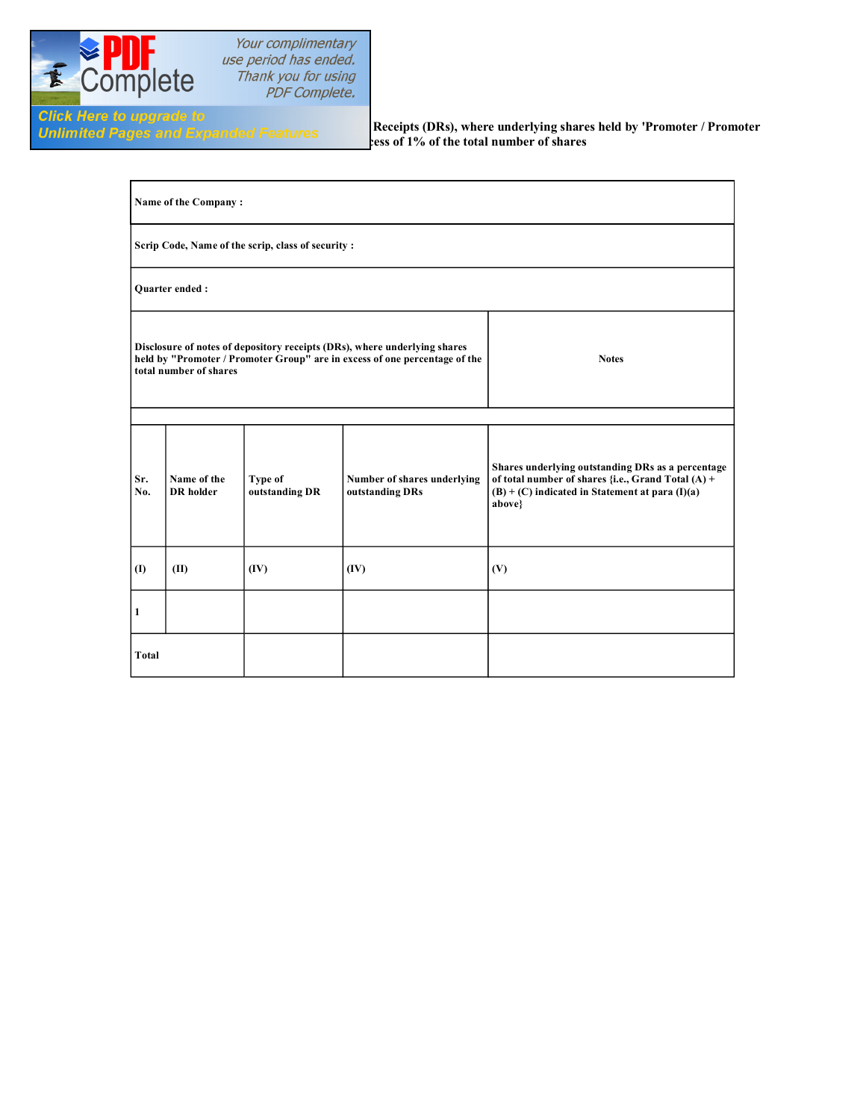

Your complimentary<br>use period has ended. Thank you for using<br>PDF Complete.

**EXECUTE SHOWING SHOW RECEIPTS (DRS), where underlying shares held by 'Promoter / Promoter Example 3 Cross of 1% of the total number of shares** 

|              | Name of the Company:                               |                                                                                                                                                         |                                                |                                                                                                                                                                          |  |  |  |  |  |  |
|--------------|----------------------------------------------------|---------------------------------------------------------------------------------------------------------------------------------------------------------|------------------------------------------------|--------------------------------------------------------------------------------------------------------------------------------------------------------------------------|--|--|--|--|--|--|
|              | Scrip Code, Name of the scrip, class of security : |                                                                                                                                                         |                                                |                                                                                                                                                                          |  |  |  |  |  |  |
|              | Quarter ended:                                     |                                                                                                                                                         |                                                |                                                                                                                                                                          |  |  |  |  |  |  |
|              | total number of shares                             | Disclosure of notes of depository receipts (DRs), where underlying shares<br>held by "Promoter / Promoter Group" are in excess of one percentage of the | <b>Notes</b>                                   |                                                                                                                                                                          |  |  |  |  |  |  |
|              |                                                    |                                                                                                                                                         |                                                |                                                                                                                                                                          |  |  |  |  |  |  |
| Sr.<br>No.   | Name of the<br><b>DR</b> holder                    | Type of<br>outstanding DR                                                                                                                               | Number of shares underlying<br>outstanding DRs | Shares underlying outstanding DRs as a percentage<br>of total number of shares {i.e., Grand Total (A) +<br>$(B) + (C)$ indicated in Statement at para $(I)(a)$<br>above} |  |  |  |  |  |  |
| $($ I        | (II)                                               | (IV)                                                                                                                                                    | (IV)                                           | (V)                                                                                                                                                                      |  |  |  |  |  |  |
| 1            |                                                    |                                                                                                                                                         |                                                |                                                                                                                                                                          |  |  |  |  |  |  |
| <b>Total</b> |                                                    |                                                                                                                                                         |                                                |                                                                                                                                                                          |  |  |  |  |  |  |